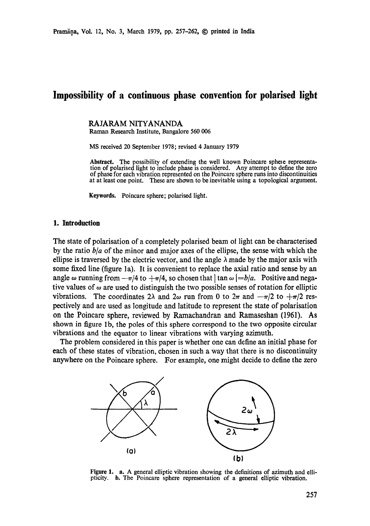# **Impossibility of a continuous phase convention for polarised light**

RAJARAM NITYANANDA Raman Research Institute, Bangalore 560 006

MS received 20 September 1978; revised 4 January 1979

**Abstract.** The possibility of extending the well known Poincare sphele representation of polarised light to include phase is considered. Any attempt to define the zero of phase for each vibration represented on the Poincare sphere runs into discontinuities at at least one point. These are shown to be inevitable using a topological argument.

Keywords. Poincare sphere; polarised light.

#### **1. Introduction**

The state of polarisation of a completely polarised beam ot light can be characterised by the ratio *b/a* of the minor and major axes of the ellipse, the sense with which the ellipse is traversed by the electric vector, and the angle  $\lambda$  made by the major axis with some fixed line (figure la). It is convenient to replace the axial ratio and sense by an angle  $\omega$  running from  $-\pi/4$  to  $+\pi/4$ , so chosen that  $\vert \tan \omega \vert = b/a$ . Positive and negative values of  $\omega$  are used to distinguish the two possible senses of rotation for elliptic vibrations. The coordinates 2 $\lambda$  and 2 $\omega$  run from 0 to 2 $\pi$  and  $-\pi/2$  to  $+\pi/2$  respectively and are used as longitude and latitude to represent the state of polarisation on the Poincare sphere, reviewed by Ramachandran and Ramaseshan (1961). As shown in figure lb, the poles of this sphere correspond to the two opposite circular vibrations and the equator to linear vibrations with varying azimuth.

The problem considered in this paper is whether one can define an initial phase for each of these states of vibration, chosen in such a way that there is no discontinuity anywhere on the Poincare sphere. For example, one might decide to define the zero



Figure 1. a. A general elliptic vibration showing the definitions of azimuth and ellipticity, b. The Poincare sphere representation of a general elliptic vibration.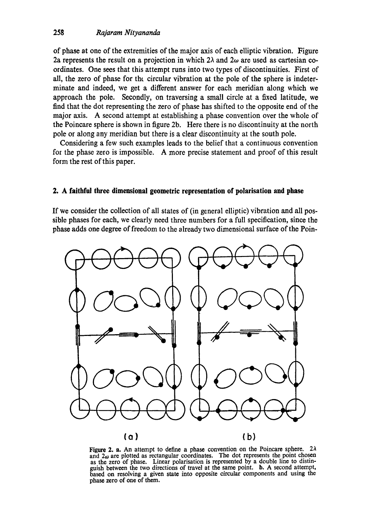## 258 *Rajaram Nityananda*

of phase at one of the extremities of the major axis of each elliptic vibration. Figure 2a represents the result on a projection in which  $2\lambda$  and  $2\omega$  are used as cartesian coordinates. One sees that this attempt runs into two types of discontinuities. First of all, the zero of phase for tht circular vibration at the pole of the sphere is indeterminate and indeed, we get a different answer for each meridian along which we approach the pole. Secondly, on traversing a small circle at a fixed latitude, we find that the dot representing the zero of phase has shifted to the opposite end of the major axis. A second attempt at establishing a phase convention over the whole of the Poincare sphere is shown in figure 2b. Here there is no discontinuity at the north pole or along any meridian but there is a clear discontinuity at the south pole.

Considering a few such examples leads to the belief that a continuous convention for the phase zero is impossible. A more precise statement and proof of this result form the rest of this paper.

### **2. A faithful three dimensional geometric representation of polarisation and phase**

If we consider the collection of all states of (in general elliptic) vibration and all possible phases for each, we clearly need three numbers for a full specification, since the phase adds one degree of freedom to the already two dimensional surface of the Poin-



Figure 2. a. An attempt to define a phase convention on the Poincare sphere.  $2\lambda$ and  $2\omega$  are plotted as rectangular coordinates. The dot represents the point chosen as the zero of phase. Linear polarisation is represented by a double line to distinguish between the two directions of travel at the same point, b. A second attempt, based on resolving a given state into opposite circular components and using the phase zero of one of **them.**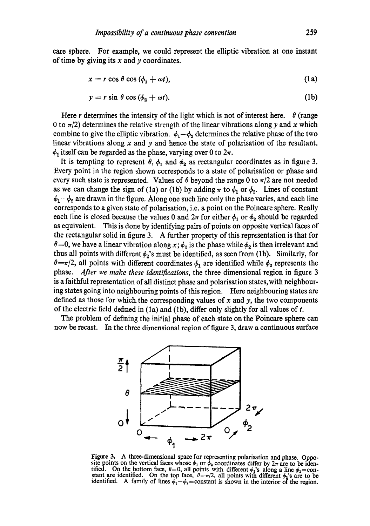care sphere. For example, we could represent the elliptic vibration at one instant of time by giving its  $x$  and  $y$  coordinates.

$$
x = r \cos \theta \cos (\phi_1 + \omega t), \tag{1a}
$$

$$
y = r \sin \theta \cos (\phi_2 + \omega t). \tag{1b}
$$

Here r determines the intensity of the light which is not of interest here.  $\theta$  (range 0 to  $\pi/2$ ) determines the relative strength of the linear vibrations along y and x which combine to give the elliptic vibration.  $\phi_1-\phi_2$  determines the relative phase of the two linear vibrations along  $x$  and  $y$  and hence the state of polarisation of the resultant.  $\phi_1$  itself can be regarded as the phase, varying over 0 to  $2\pi$ .

It is tempting to represent  $\theta$ ,  $\phi_1$  and  $\phi_2$  as rectangular coordinates as in figure 3. Every point in the region shown corresponds to a state of polarisation or phase and every such state is represented. Values of  $\theta$  beyond the range 0 to  $\pi/2$  are not needed as we can change the sign of (1a) or (1b) by adding  $\pi$  to  $\phi_1$  or  $\phi_2$ . Lines of constant  $\phi_1-\phi_2$  are drawn in the figure. Along one such line only the phase varies, and each line corresponds to a given state of polarisation, i.e. a point on the Poincare sphere. Really each line is closed because the values 0 and  $2\pi$  for either  $\phi_1$  or  $\phi_2$  should be regarded as equivalent. This is done by identifying pairs of points on opposite vertical faces of the rectangular solid in figure 3. A further property of this representation is that for  $\theta = 0$ , we have a linear vibration along x;  $\phi_1$  is the phase while  $\phi_2$  is then irrelevant and thus all points with different  $\phi_2$ 's must be identified, as seen from (1b). Similarly, for  $\theta = \pi/2$ , all points with different coordinates  $\phi_1$  are identified while  $\phi_2$  represents the phase. *After we make these identifications,* the three dimensional region in figure 3 is a faithful representation of all distinct phase and polarisation states, with neighbouring states going into neighbouring points of this region. Here neighbouring states are defined as those for which the corresponding values of x and y, the two components of the electric field defined in (1a) and (1b), differ only slightly for all values of  $t$ .

The problem of defining the initial phase of each state on the Poincare sphere can now be recast. In the three dimensional region of figure 3, draw a continuous surface



Figure 3. A three-dimensional space for representing polarisation and phase. Opposite points on the vertical faces whose  $\phi_1$  or  $\dot{\phi}_2$  coordinates differ by  $2\pi$  are to be identified. On the bottom face,  $\theta = 0$ , all points with different  $\phi_2$ 's along a line  $\phi_1 = \text{constant}$  are identified. On the top face,  $\theta = \pi/2$ , all points with different  $\phi_1$ 's are to be identified. A family of lines  $\phi_1 - \phi_2 =$  constant is shown in the interior of the region.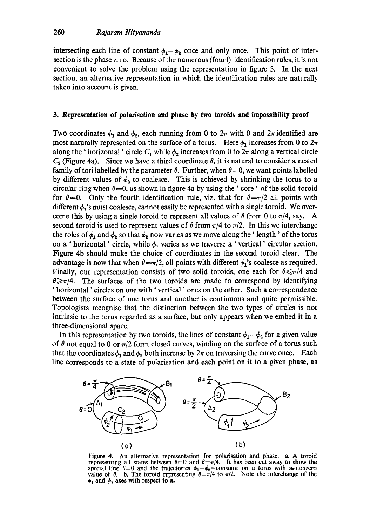intersecting each line of constant  $\phi_1-\phi_2$  once and only once. This point of intersection is the phase  $z_f$  to. Because of the numerous (four!) identification rules, it is not convenient to solve the problem using the representation in figure 3. In the next section, an alternative representation in which the identification rules are naturally taken into account is given.

### **3. Representation of polarisation and phase by two toroids and impossibility proof**

Two coordinates  $\phi_1$  and  $\phi_2$ , each running from 0 to  $2\pi$  with 0 and  $2\pi$  identified are most naturally represented on the surface of a torus. Here  $\phi_1$  increases from 0 to  $2\pi$ along the ' horizontal ' circle  $C_1$  while  $\phi_2$  increases from 0 to  $2\pi$  along a vertical circle  $C_2$  (Figure 4a). Since we have a third coordinate  $\theta$ , it is natural to consider a nested family of tori labelled by the parameter  $\theta$ . Further, when  $\theta = 0$ , we want points labelled by different values of  $\phi_2$  to coalesce. This is achieved by shrinking the torus to a circular ring when  $\theta = 0$ , as shown in figure 4a by using the 'core' of the solid toroid for  $\theta = 0$ . Only the fourth identification rule, viz. that for  $\theta = \pi/2$  all points with different  $\phi_1$ 's must coalesce, cannot easily be represented with a single toroid. We overcome this by using a single toroid to represent all values of  $\theta$  from 0 to  $\pi/4$ , say. A second toroid is used to represent values of  $\theta$  from  $\pi/4$  to  $\pi/2$ . In this we interchange the roles of  $\phi_1$  and  $\phi_2$  so that  $\phi_2$  now varies as we move along the 'length' of the torus on a ' horizontal' circle, while  $\phi_1$  varies as we traverse a ' vertical' circular section. Figure 4b should make the choice of coordinates in the second toroid clear. The advantage is now that when  $\theta = \pi/2$ , all points with different  $\phi_1$ 's coalesce as required. Finally, our representation consists of two solid toroids, one each for  $\theta \le \pi/4$  and  $\theta \geq \pi/4$ . The surfaces of the two toroids are made to correspond by identifying ' horizontal ' circles on one with' vertical' ones on the other. Such a correspondence between the surface of one torus and another is continuous and quite permissible. Topologists recognise that the distinction between the two types of circles is not intrinsic to the torus regarded as a surface, but only appears when we embed it in a three-dimensional space.

In this representation by two toroids, the lines of constant  $\phi_1-\phi_2$  for a given value of  $\theta$  not equal to 0 or  $\pi/2$  form closed curves, winding on the surface of a torus such that the coordinates  $\phi_1$  and  $\phi_2$  both increase by  $2\pi$  on traversing the curve once. Each



Figure 4. An alternative representation for polarisation and phase. **a.** A toroid representing all states between  $\theta = 0$  and  $\theta = \pi/4$ . It has been cut away to show the special line  $\theta = 0$  and the trajectories  $\phi_1 - \phi_2 =$ constant on a torus with a nonzero **value of**  $\theta$ **. <b>b.** The toroid representing  $\theta = \pi/4$  to  $\pi/2$ . Note the interchange of the  $\phi_1$  and  $\phi_2$  axes with respect to a.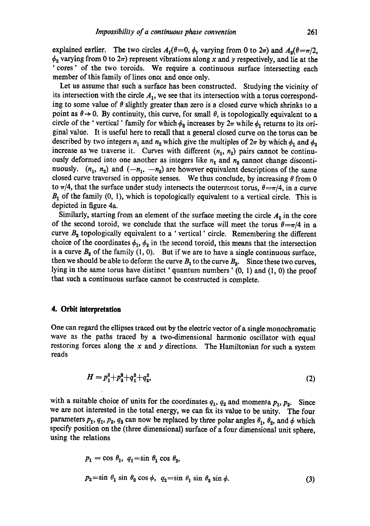explained earlier. The two circles  $A_1(\theta=0, \phi_1)$  varying from 0 to  $2\pi$ ) and  $A_2(\theta=\pi/2, \phi_1)$  $\phi_2$  varying from 0 to  $2\pi$ ) represent vibrations along x and y respectively, and lie at the 'cores' of the two toroids. We require a continuous surface intersecting each member of this family of lines once and once only.

Let us assume that such a surface has been constructed. Studying the vicinity of its intersection with the circle  $A<sub>1</sub>$ , we see that its intersection with a torus corresponding to some value of  $\theta$  slightly greater than zero is a closed curve which shrinks to a point as  $\theta \rightarrow 0$ . By continuity, this curve, for small  $\theta$ , is topologically equivalent to a circle of the 'vertical' family for which  $\phi_2$  increases by  $2\pi$  while  $\phi_1$  returns to its original value. It is useful here to recall that a general closed curve on the torus can be described by two integers  $n_1$  and  $n_2$  which give the multiples of  $2\pi$  by which  $\phi_1$  and  $\phi_2$ increase as we traverse it. Curves with different  $(n_1, n_2)$  pairs cannot be continuously deformed into one another as integers like  $n_1$  and  $n_2$  cannot change discontinuously.  $(n_1, n_2)$  and  $(-n_1, -n_2)$  are however equivalent descriptions of the same closed curve traversed in opposite senses. We thus conclude, by increasing  $\theta$  from 0 to  $\pi/4$ , that the surface under study intersects the outermost torus,  $\theta = \pi/4$ , in a curve  $B_1$  of the family  $(0, 1)$ , which is topologically equivalent to a vertical circle. This is depicted in figure 4a.

Similarly, starting from an element of the surface meeting the circle  $A_2$  in the core of the second toroid, we conclude that the surface will meet the torus  $\theta = \pi/4$  in a curve  $B_2$  topologically equivalent to a ' vertical' circle. Remembering the different choice of the coordinates  $\phi_1$ ,  $\phi_2$  in the second toroid, this means that the intersection is a curve  $B_2$  of the family (1, 0). But if we are to have a single continuous surface, then we should be able to deform the curve  $B_1$  to the curve  $B_2$ . Since these two curves, lying in the same torus have distinct ' quantum numbers' (0, 1) and (1, 0) the proof that such a continuous surface cannot be constructed is complete.

#### **4. Orbit interpretation**

One can regard the ellipses traced out by the electric vector of a single monochromatic wave as the paths traced by a two-dimensional harmonic oscillator with equal restoring forces along the  $x$  and  $y$  directions. The Hamiltonian for such a system reads

$$
H = p_1^2 + p_2^2 + q_1^2 + q_2^2,\tag{2}
$$

with a suitable choice of units for the coordinates  $q_1, q_2$  and momenta  $p_1, p_2$ . Since we are not interested in the total energy, we can fix its value to be unity. The four parameters  $p_1$ ,  $q_1$ ,  $p_2$ ,  $q_2$  can now be replaced by three polar angles  $\theta_1$ ,  $\theta_2$ , and  $\phi$  which specify position on the (three dimensional) surface of a four dimensional unit sphere, using the relations

$$
p_1 = \cos \theta_1, \ q_1 = \sin \theta_1 \cos \theta_2,
$$
  

$$
p_2 = \sin \theta_1 \sin \theta_2 \cos \phi, \ q_2 = \sin \theta_1 \sin \theta_2 \sin \phi.
$$
 (3)